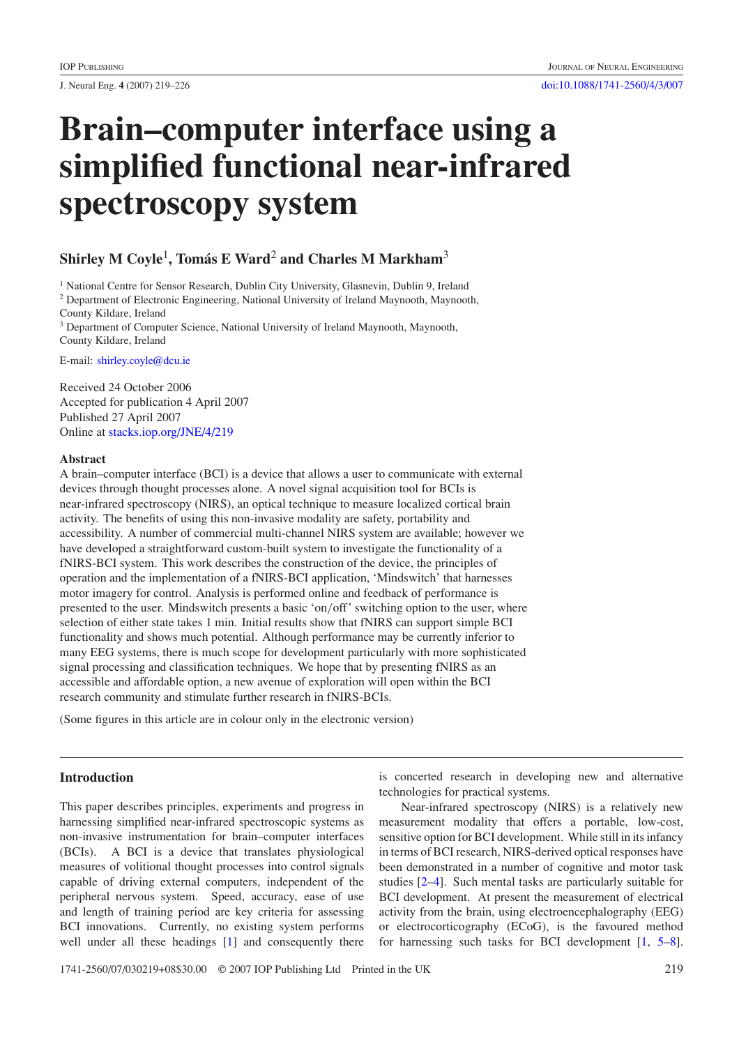# **Brain–computer interface using a simplified functional near-infrared spectroscopy system**

# **Shirley M Coyle**1**, Tomas E Ward ´** <sup>2</sup> **and Charles M Markham**<sup>3</sup>

<sup>1</sup> National Centre for Sensor Research, Dublin City University, Glasnevin, Dublin 9, Ireland

<sup>2</sup> Department of Electronic Engineering, National University of Ireland Maynooth, Maynooth, County Kildare, Ireland

<sup>3</sup> Department of Computer Science, National University of Ireland Maynooth, Maynooth, County Kildare, Ireland

E-mail: [shirley.coyle@dcu.ie](mailto:shirley.coyle@dcu.ie)

Received 24 October 2006 Accepted for publication 4 April 2007 Published 27 April 2007 Online at [stacks.iop.org/JNE/4/219](http://stacks.iop.org/JNE/4/219)

#### **Abstract**

A brain–computer interface (BCI) is a device that allows a user to communicate with external devices through thought processes alone. A novel signal acquisition tool for BCIs is near-infrared spectroscopy (NIRS), an optical technique to measure localized cortical brain activity. The benefits of using this non-invasive modality are safety, portability and accessibility. A number of commercial multi-channel NIRS system are available; however we have developed a straightforward custom-built system to investigate the functionality of a fNIRS-BCI system. This work describes the construction of the device, the principles of operation and the implementation of a fNIRS-BCI application, 'Mindswitch' that harnesses motor imagery for control. Analysis is performed online and feedback of performance is presented to the user. Mindswitch presents a basic 'on*/*off' switching option to the user, where selection of either state takes 1 min. Initial results show that fNIRS can support simple BCI functionality and shows much potential. Although performance may be currently inferior to many EEG systems, there is much scope for development particularly with more sophisticated signal processing and classification techniques. We hope that by presenting fNIRS as an accessible and affordable option, a new avenue of exploration will open within the BCI research community and stimulate further research in fNIRS-BCIs.

(Some figures in this article are in colour only in the electronic version)

# **Introduction**

This paper describes principles, experiments and progress in harnessing simplified near-infrared spectroscopic systems as non-invasive instrumentation for brain–computer interfaces (BCIs). A BCI is a device that translates physiological measures of volitional thought processes into control signals capable of driving external computers, independent of the peripheral nervous system. Speed, accuracy, ease of use and length of training period are key criteria for assessing BCI innovations. Currently, no existing system performs well under all these headings [\[1\]](#page-6-0) and consequently there

is concerted research in developing new and alternative technologies for practical systems.

Near-infrared spectroscopy (NIRS) is a relatively new measurement modality that offers a portable, low-cost, sensitive option for BCI development. While still in its infancy in terms of BCI research, NIRS-derived optical responses have been demonstrated in a number of cognitive and motor task studies [\[2–4](#page-6-0)]. Such mental tasks are particularly suitable for BCI development. At present the measurement of electrical activity from the brain, using electroencephalography (EEG) or electrocorticography (ECoG), is the favoured method for harnessing such tasks for BCI development [\[1](#page-6-0), [5–8](#page-7-0)].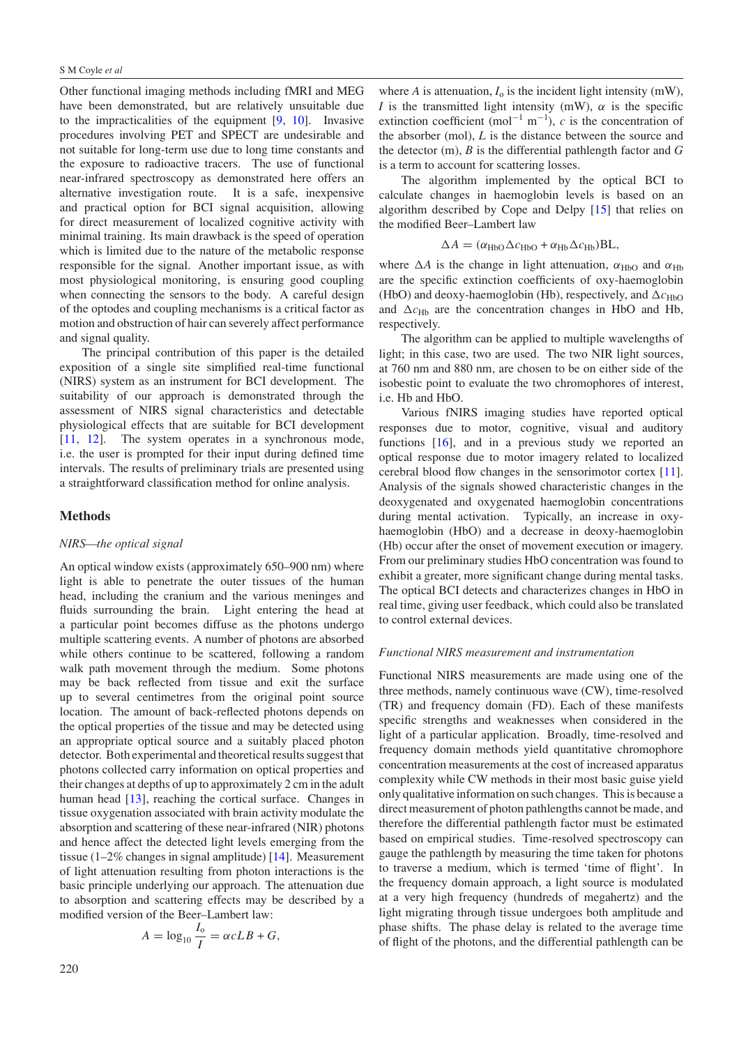Other functional imaging methods including fMRI and MEG have been demonstrated, but are relatively unsuitable due to the impracticalities of the equipment [\[9](#page-7-0), [10\]](#page-7-0). Invasive procedures involving PET and SPECT are undesirable and not suitable for long-term use due to long time constants and the exposure to radioactive tracers. The use of functional near-infrared spectroscopy as demonstrated here offers an alternative investigation route. It is a safe, inexpensive and practical option for BCI signal acquisition, allowing for direct measurement of localized cognitive activity with minimal training. Its main drawback is the speed of operation which is limited due to the nature of the metabolic response responsible for the signal. Another important issue, as with most physiological monitoring, is ensuring good coupling when connecting the sensors to the body. A careful design of the optodes and coupling mechanisms is a critical factor as motion and obstruction of hair can severely affect performance and signal quality.

The principal contribution of this paper is the detailed exposition of a single site simplified real-time functional (NIRS) system as an instrument for BCI development. The suitability of our approach is demonstrated through the assessment of NIRS signal characteristics and detectable physiological effects that are suitable for BCI development [\[11](#page-7-0), [12\]](#page-7-0). The system operates in a synchronous mode, i.e. the user is prompted for their input during defined time intervals. The results of preliminary trials are presented using a straightforward classification method for online analysis.

## **Methods**

#### *NIRS—the optical signal*

An optical window exists (approximately 650–900 nm) where light is able to penetrate the outer tissues of the human head, including the cranium and the various meninges and fluids surrounding the brain. Light entering the head at a particular point becomes diffuse as the photons undergo multiple scattering events. A number of photons are absorbed while others continue to be scattered, following a random walk path movement through the medium. Some photons may be back reflected from tissue and exit the surface up to several centimetres from the original point source location. The amount of back-reflected photons depends on the optical properties of the tissue and may be detected using an appropriate optical source and a suitably placed photon detector. Both experimental and theoretical results suggest that photons collected carry information on optical properties and their changes at depths of up to approximately 2 cm in the adult human head [\[13](#page-7-0)], reaching the cortical surface. Changes in tissue oxygenation associated with brain activity modulate the absorption and scattering of these near-infrared (NIR) photons and hence affect the detected light levels emerging from the tissue  $(1-2\%$  changes in signal amplitude) [\[14\]](#page-7-0). Measurement of light attenuation resulting from photon interactions is the basic principle underlying our approach. The attenuation due to absorption and scattering effects may be described by a modified version of the Beer–Lambert law:

$$
A = \log_{10} \frac{I_0}{I} = \alpha c L B + G,
$$

where  $A$  is attenuation,  $I_0$  is the incident light intensity (mW), *I* is the transmitted light intensity (mW),  $\alpha$  is the specific extinction coefficient (mol<sup>-1</sup> m<sup>-1</sup>),  $c$  is the concentration of the absorber (mol), *L* is the distance between the source and the detector (m), *B* is the differential pathlength factor and *G* is a term to account for scattering losses.

The algorithm implemented by the optical BCI to calculate changes in haemoglobin levels is based on an algorithm described by Cope and Delpy [\[15\]](#page-7-0) that relies on the modified Beer–Lambert law

$$
\Delta A = (\alpha_{\text{HbO}} \Delta c_{\text{HbO}} + \alpha_{\text{Hb}} \Delta c_{\text{Hb}}) BL,
$$

where  $\Delta A$  is the change in light attenuation,  $\alpha_{\text{HbO}}$  and  $\alpha_{\text{Hb}}$ are the specific extinction coefficients of oxy-haemoglobin (HbO) and deoxy-haemoglobin (Hb), respectively, and  $\Delta c_{\text{HbO}}$ and  $\Delta c_{\text{Hb}}$  are the concentration changes in HbO and Hb, respectively.

The algorithm can be applied to multiple wavelengths of light; in this case, two are used. The two NIR light sources, at 760 nm and 880 nm, are chosen to be on either side of the isobestic point to evaluate the two chromophores of interest, i.e. Hb and HbO.

Various fNIRS imaging studies have reported optical responses due to motor, cognitive, visual and auditory functions [\[16](#page-7-0)], and in a previous study we reported an optical response due to motor imagery related to localized cerebral blood flow changes in the sensorimotor cortex [\[11](#page-7-0)]. Analysis of the signals showed characteristic changes in the deoxygenated and oxygenated haemoglobin concentrations during mental activation. Typically, an increase in oxyhaemoglobin (HbO) and a decrease in deoxy-haemoglobin (Hb) occur after the onset of movement execution or imagery. From our preliminary studies HbO concentration was found to exhibit a greater, more significant change during mental tasks. The optical BCI detects and characterizes changes in HbO in real time, giving user feedback, which could also be translated to control external devices.

#### *Functional NIRS measurement and instrumentation*

Functional NIRS measurements are made using one of the three methods, namely continuous wave (CW), time-resolved (TR) and frequency domain (FD). Each of these manifests specific strengths and weaknesses when considered in the light of a particular application. Broadly, time-resolved and frequency domain methods yield quantitative chromophore concentration measurements at the cost of increased apparatus complexity while CW methods in their most basic guise yield only qualitative information on such changes. This is because a direct measurement of photon pathlengths cannot be made, and therefore the differential pathlength factor must be estimated based on empirical studies. Time-resolved spectroscopy can gauge the pathlength by measuring the time taken for photons to traverse a medium, which is termed 'time of flight'. In the frequency domain approach, a light source is modulated at a very high frequency (hundreds of megahertz) and the light migrating through tissue undergoes both amplitude and phase shifts. The phase delay is related to the average time of flight of the photons, and the differential pathlength can be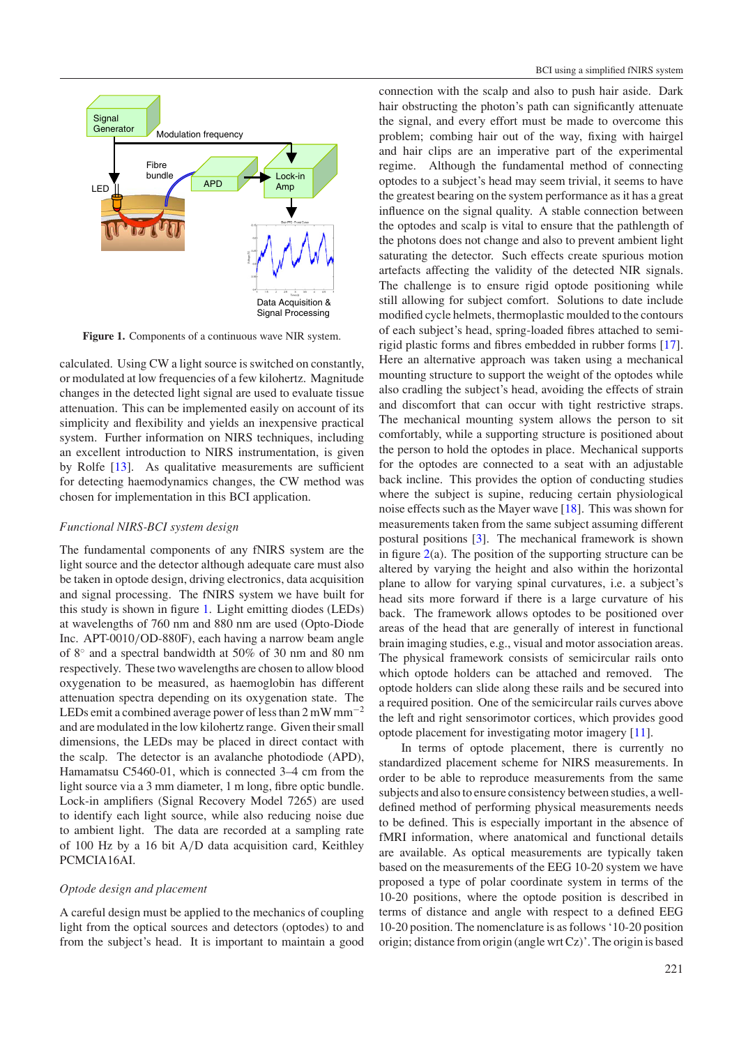

**Figure 1.** Components of a continuous wave NIR system.

calculated. Using CW a light source is switched on constantly, or modulated at low frequencies of a few kilohertz. Magnitude changes in the detected light signal are used to evaluate tissue attenuation. This can be implemented easily on account of its simplicity and flexibility and yields an inexpensive practical system. Further information on NIRS techniques, including an excellent introduction to NIRS instrumentation, is given by Rolfe [\[13](#page-7-0)]. As qualitative measurements are sufficient for detecting haemodynamics changes, the CW method was chosen for implementation in this BCI application.

#### *Functional NIRS-BCI system design*

The fundamental components of any fNIRS system are the light source and the detector although adequate care must also be taken in optode design, driving electronics, data acquisition and signal processing. The fNIRS system we have built for this study is shown in figure 1. Light emitting diodes (LEDs) at wavelengths of 760 nm and 880 nm are used (Opto-Diode Inc. APT-0010*/*OD-880F), each having a narrow beam angle of 8◦ and a spectral bandwidth at 50% of 30 nm and 80 nm respectively. These two wavelengths are chosen to allow blood oxygenation to be measured, as haemoglobin has different attenuation spectra depending on its oxygenation state. The LEDs emit a combined average power of less than  $2 \text{ mW mm}^{-2}$ and are modulated in the low kilohertz range. Given their small dimensions, the LEDs may be placed in direct contact with the scalp. The detector is an avalanche photodiode (APD), Hamamatsu C5460-01, which is connected 3–4 cm from the light source via a 3 mm diameter, 1 m long, fibre optic bundle. Lock-in amplifiers (Signal Recovery Model 7265) are used to identify each light source, while also reducing noise due to ambient light. The data are recorded at a sampling rate of 100 Hz by a 16 bit A*/*D data acquisition card, Keithley PCMCIA16AI.

#### *Optode design and placement*

A careful design must be applied to the mechanics of coupling light from the optical sources and detectors (optodes) to and from the subject's head. It is important to maintain a good connection with the scalp and also to push hair aside. Dark hair obstructing the photon's path can significantly attenuate the signal, and every effort must be made to overcome this problem; combing hair out of the way, fixing with hairgel and hair clips are an imperative part of the experimental regime. Although the fundamental method of connecting optodes to a subject's head may seem trivial, it seems to have the greatest bearing on the system performance as it has a great influence on the signal quality. A stable connection between the optodes and scalp is vital to ensure that the pathlength of the photons does not change and also to prevent ambient light saturating the detector. Such effects create spurious motion artefacts affecting the validity of the detected NIR signals. The challenge is to ensure rigid optode positioning while still allowing for subject comfort. Solutions to date include modified cycle helmets, thermoplastic moulded to the contours of each subject's head, spring-loaded fibres attached to semirigid plastic forms and fibres embedded in rubber forms [\[17](#page-7-0)]. Here an alternative approach was taken using a mechanical mounting structure to support the weight of the optodes while also cradling the subject's head, avoiding the effects of strain and discomfort that can occur with tight restrictive straps. The mechanical mounting system allows the person to sit comfortably, while a supporting structure is positioned about the person to hold the optodes in place. Mechanical supports for the optodes are connected to a seat with an adjustable back incline. This provides the option of conducting studies where the subject is supine, reducing certain physiological noise effects such as the Mayer wave [\[18\]](#page-7-0). This was shown for measurements taken from the same subject assuming different postural positions [\[3](#page-6-0)]. The mechanical framework is shown in figure  $2(a)$  $2(a)$ . The position of the supporting structure can be altered by varying the height and also within the horizontal plane to allow for varying spinal curvatures, i.e. a subject's head sits more forward if there is a large curvature of his back. The framework allows optodes to be positioned over areas of the head that are generally of interest in functional brain imaging studies, e.g., visual and motor association areas. The physical framework consists of semicircular rails onto which optode holders can be attached and removed. The optode holders can slide along these rails and be secured into a required position. One of the semicircular rails curves above the left and right sensorimotor cortices, which provides good optode placement for investigating motor imagery [\[11](#page-7-0)].

In terms of optode placement, there is currently no standardized placement scheme for NIRS measurements. In order to be able to reproduce measurements from the same subjects and also to ensure consistency between studies, a welldefined method of performing physical measurements needs to be defined. This is especially important in the absence of fMRI information, where anatomical and functional details are available. As optical measurements are typically taken based on the measurements of the EEG 10-20 system we have proposed a type of polar coordinate system in terms of the 10-20 positions, where the optode position is described in terms of distance and angle with respect to a defined EEG 10-20 position. The nomenclature is as follows '10-20 position origin; distance from origin (angle wrt Cz)'. The origin is based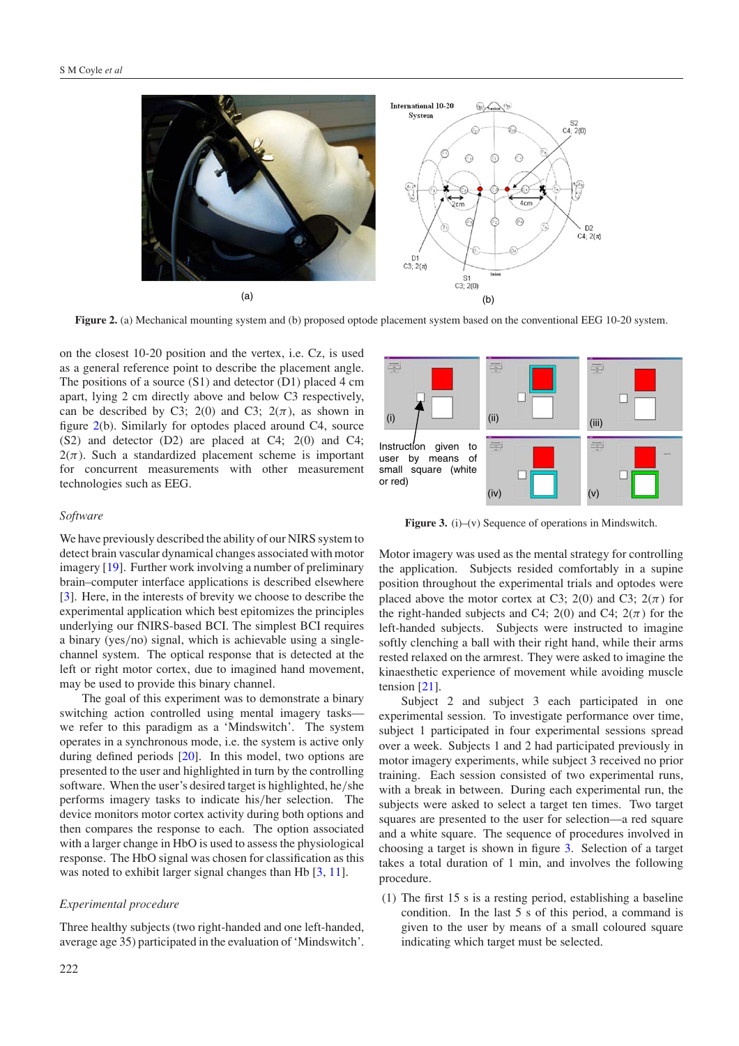<span id="page-3-0"></span>

**Figure 2.** (a) Mechanical mounting system and (b) proposed optode placement system based on the conventional EEG 10-20 system.

on the closest 10-20 position and the vertex, i.e. Cz, is used as a general reference point to describe the placement angle. The positions of a source (S1) and detector (D1) placed 4 cm apart, lying 2 cm directly above and below C3 respectively, can be described by C3; 2(0) and C3;  $2(\pi)$ , as shown in figure 2(b). Similarly for optodes placed around C4, source (S2) and detector (D2) are placed at C4; 2(0) and C4;  $2(\pi)$ . Such a standardized placement scheme is important for concurrent measurements with other measurement technologies such as EEG.

#### *Software*

We have previously described the ability of our NIRS system to detect brain vascular dynamical changes associated with motor imagery [\[19\]](#page-7-0). Further work involving a number of preliminary brain–computer interface applications is described elsewhere [\[3](#page-6-0)]. Here, in the interests of brevity we choose to describe the experimental application which best epitomizes the principles underlying our fNIRS-based BCI. The simplest BCI requires a binary (yes*/*no) signal, which is achievable using a singlechannel system. The optical response that is detected at the left or right motor cortex, due to imagined hand movement, may be used to provide this binary channel.

The goal of this experiment was to demonstrate a binary switching action controlled using mental imagery tasks we refer to this paradigm as a 'Mindswitch'. The system operates in a synchronous mode, i.e. the system is active only during defined periods [\[20\]](#page-7-0). In this model, two options are presented to the user and highlighted in turn by the controlling software. When the user's desired target is highlighted, he*/*she performs imagery tasks to indicate his*/*her selection. The device monitors motor cortex activity during both options and then compares the response to each. The option associated with a larger change in HbO is used to assess the physiological response. The HbO signal was chosen for classification as this was noted to exhibit larger signal changes than Hb [\[3,](#page-6-0) [11\]](#page-7-0).

#### *Experimental procedure*

Three healthy subjects (two right-handed and one left-handed, average age 35) participated in the evaluation of 'Mindswitch'.



**Figure 3.** (i)–(v) Sequence of operations in Mindswitch.

Motor imagery was used as the mental strategy for controlling the application. Subjects resided comfortably in a supine position throughout the experimental trials and optodes were placed above the motor cortex at C3; 2(0) and C3;  $2(\pi)$  for the right-handed subjects and C4; 2(0) and C4;  $2(\pi)$  for the left-handed subjects. Subjects were instructed to imagine softly clenching a ball with their right hand, while their arms rested relaxed on the armrest. They were asked to imagine the kinaesthetic experience of movement while avoiding muscle tension [\[21\]](#page-7-0).

Subject 2 and subject 3 each participated in one experimental session. To investigate performance over time, subject 1 participated in four experimental sessions spread over a week. Subjects 1 and 2 had participated previously in motor imagery experiments, while subject 3 received no prior training. Each session consisted of two experimental runs, with a break in between. During each experimental run, the subjects were asked to select a target ten times. Two target squares are presented to the user for selection—a red square and a white square. The sequence of procedures involved in choosing a target is shown in figure 3. Selection of a target takes a total duration of 1 min, and involves the following procedure.

(1) The first 15 s is a resting period, establishing a baseline condition. In the last 5 s of this period, a command is given to the user by means of a small coloured square indicating which target must be selected.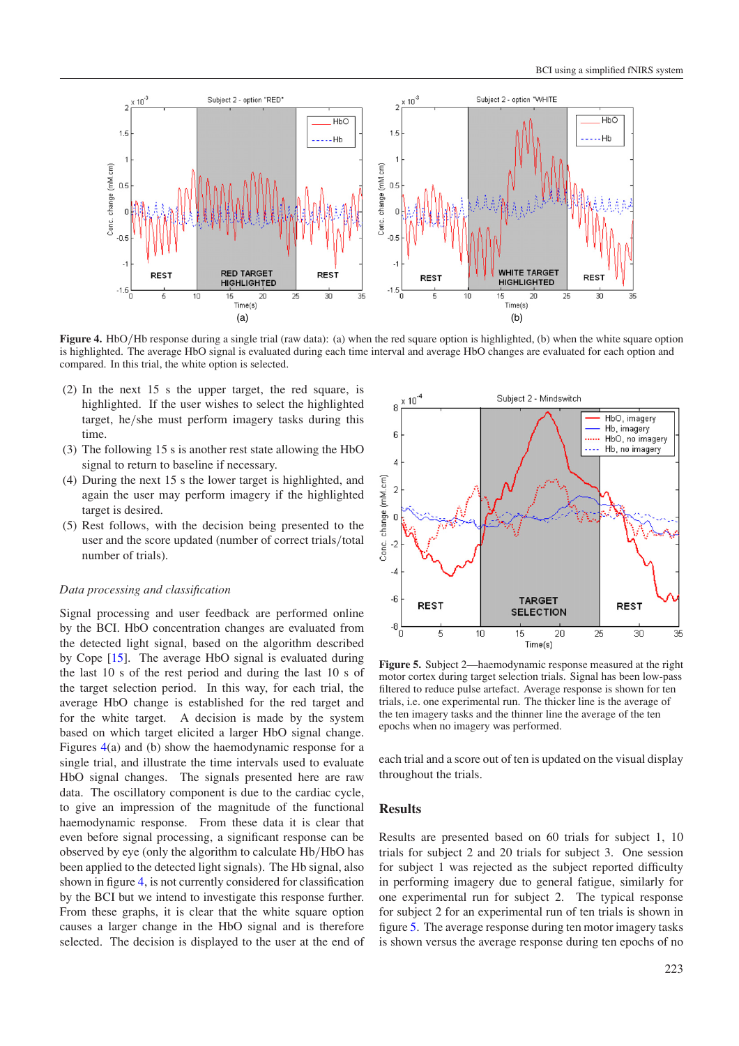

**Figure 4.** HbO/Hb response during a single trial (raw data): (a) when the red square option is highlighted, (b) when the white square option is highlighted. The average HbO signal is evaluated during each time interval and average HbO changes are evaluated for each option and compared. In this trial, the white option is selected.

- (2) In the next 15 s the upper target, the red square, is highlighted. If the user wishes to select the highlighted target, he*/*she must perform imagery tasks during this time.
- (3) The following 15 s is another rest state allowing the HbO signal to return to baseline if necessary.
- (4) During the next 15 s the lower target is highlighted, and again the user may perform imagery if the highlighted target is desired.
- (5) Rest follows, with the decision being presented to the user and the score updated (number of correct trials*/*total number of trials).

#### *Data processing and classification*

Signal processing and user feedback are performed online by the BCI. HbO concentration changes are evaluated from the detected light signal, based on the algorithm described by Cope [\[15\]](#page-7-0). The average HbO signal is evaluated during the last 10 s of the rest period and during the last 10 s of the target selection period. In this way, for each trial, the average HbO change is established for the red target and for the white target. A decision is made by the system based on which target elicited a larger HbO signal change. Figures 4(a) and (b) show the haemodynamic response for a single trial, and illustrate the time intervals used to evaluate HbO signal changes. The signals presented here are raw data. The oscillatory component is due to the cardiac cycle, to give an impression of the magnitude of the functional haemodynamic response. From these data it is clear that even before signal processing, a significant response can be observed by eye (only the algorithm to calculate Hb*/*HbO has been applied to the detected light signals). The Hb signal, also shown in figure 4, is not currently considered for classification by the BCI but we intend to investigate this response further. From these graphs, it is clear that the white square option causes a larger change in the HbO signal and is therefore selected. The decision is displayed to the user at the end of



**Figure 5.** Subject 2—haemodynamic response measured at the right motor cortex during target selection trials. Signal has been low-pass filtered to reduce pulse artefact. Average response is shown for ten trials, i.e. one experimental run. The thicker line is the average of the ten imagery tasks and the thinner line the average of the ten epochs when no imagery was performed.

each trial and a score out of ten is updated on the visual display throughout the trials.

### **Results**

Results are presented based on 60 trials for subject 1, 10 trials for subject 2 and 20 trials for subject 3. One session for subject 1 was rejected as the subject reported difficulty in performing imagery due to general fatigue, similarly for one experimental run for subject 2. The typical response for subject 2 for an experimental run of ten trials is shown in figure 5. The average response during ten motor imagery tasks is shown versus the average response during ten epochs of no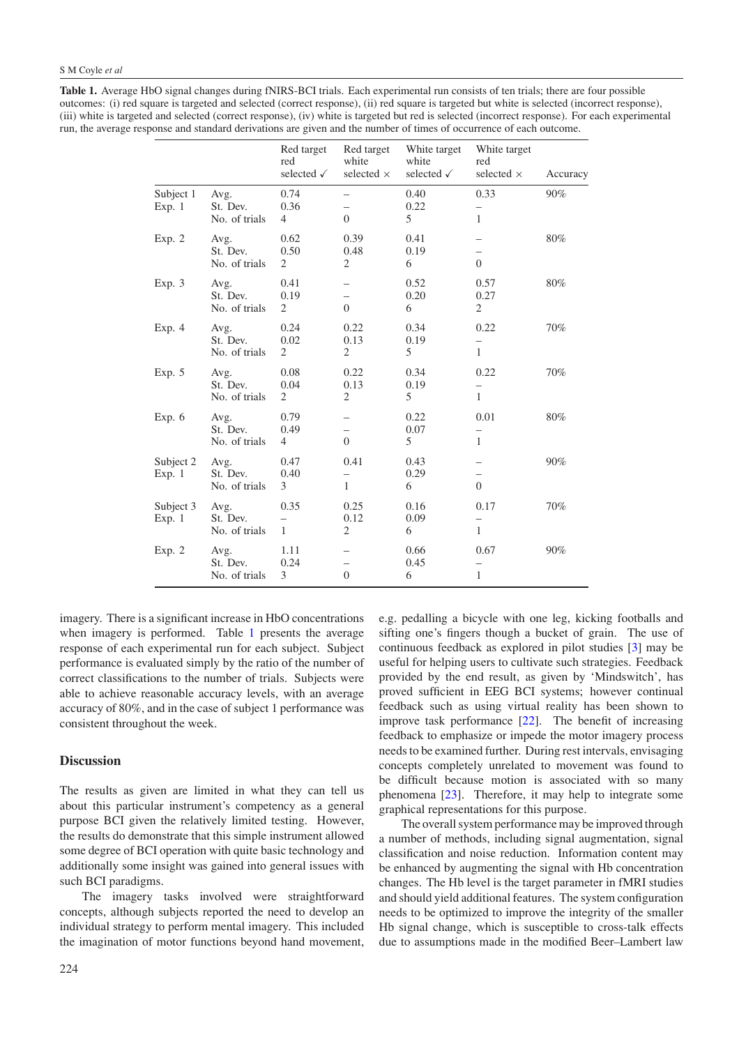| Table 1. Average HbO signal changes during fNIRS-BCI trials. Each experimental run consists of ten trials; there are four possible              |
|-------------------------------------------------------------------------------------------------------------------------------------------------|
| outcomes: (i) red square is targeted and selected (correct response), (ii) red square is targeted but white is selected (incorrect response),   |
| (iii) white is targeted and selected (correct response), (iv) white is targeted but red is selected (incorrect response). For each experimental |
| run, the average response and standard derivations are given and the number of times of occurrence of each outcome.                             |

|                     |                                   | Red target<br>red<br>selected √ | Red target<br>white<br>selected $\times$                         | White target<br>white<br>selected $\checkmark$ | White target<br>red<br>selected $\times$                               | Accuracy |
|---------------------|-----------------------------------|---------------------------------|------------------------------------------------------------------|------------------------------------------------|------------------------------------------------------------------------|----------|
| Subject 1<br>Exp. 1 | Avg.<br>St. Dev.<br>No. of trials | 0.74<br>0.36<br>4               | —<br>$\overline{\phantom{0}}$<br>$\Omega$                        | 0.40<br>0.22<br>5                              | 0.33<br>1                                                              | 90%      |
| Exp. 2              | Avg.<br>St. Dev.<br>No. of trials | 0.62<br>0.50<br>2               | 0.39<br>0.48<br>$\overline{2}$                                   | 0.41<br>0.19<br>6                              | $\overline{\phantom{0}}$<br>$\overline{\phantom{0}}$<br>$\overline{0}$ | 80%      |
| Exp. 3              | Avg.<br>St. Dev.<br>No. of trials | 0.41<br>0.19<br>2               | $\overline{\phantom{0}}$<br>$\theta$                             | 0.52<br>0.20<br>6                              | 0.57<br>0.27<br>$\overline{2}$                                         | 80%      |
| Exp. 4              | Avg.<br>St. Dev.<br>No. of trials | 0.24<br>0.02<br>2               | 0.22<br>0.13<br>2                                                | 0.34<br>0.19<br>5                              | 0.22<br>$\mathbf{1}$                                                   | 70%      |
| Exp. $5$            | Avg.<br>St. Dev.<br>No. of trials | 0.08<br>0.04<br>2               | 0.22<br>0.13<br>$\overline{2}$                                   | 0.34<br>0.19<br>5                              | 0.22<br>$\mathbf{1}$                                                   | 70%      |
| Exp. 6              | Avg.<br>St. Dev.<br>No. of trials | 0.79<br>0.49<br>$\overline{4}$  | $\overline{\phantom{0}}$<br>$\overline{\phantom{0}}$<br>$\Omega$ | 0.22<br>0.07<br>5                              | 0.01<br>1                                                              | 80%      |
| Subject 2<br>Exp. 1 | Avg.<br>St. Dev.<br>No. of trials | 0.47<br>0.40<br>3               | 0.41<br>$\overline{\phantom{0}}$<br>1                            | 0.43<br>0.29<br>6                              | $\Omega$                                                               | 90%      |
| Subject 3<br>Exp. 1 | Avg.<br>St. Dev.<br>No. of trials | 0.35<br>$\mathbf{1}$            | 0.25<br>0.12<br>$\mathfrak{2}$                                   | 0.16<br>0.09<br>6                              | 0.17<br>$\mathbf{1}$                                                   | 70%      |
| Exp. 2              | Avg.<br>St. Dev.<br>No. of trials | 1.11<br>0.24<br>3               | $\overline{\phantom{0}}$<br>$\Omega$                             | 0.66<br>0.45<br>6                              | 0.67<br>$\mathbf{1}$                                                   | 90%      |

imagery. There is a significant increase in HbO concentrations when imagery is performed. Table 1 presents the average response of each experimental run for each subject. Subject performance is evaluated simply by the ratio of the number of correct classifications to the number of trials. Subjects were able to achieve reasonable accuracy levels, with an average accuracy of 80%, and in the case of subject 1 performance was consistent throughout the week.

#### **Discussion**

The results as given are limited in what they can tell us about this particular instrument's competency as a general purpose BCI given the relatively limited testing. However, the results do demonstrate that this simple instrument allowed some degree of BCI operation with quite basic technology and additionally some insight was gained into general issues with such BCI paradigms.

The imagery tasks involved were straightforward concepts, although subjects reported the need to develop an individual strategy to perform mental imagery. This included the imagination of motor functions beyond hand movement, e.g. pedalling a bicycle with one leg, kicking footballs and sifting one's fingers though a bucket of grain. The use of continuous feedback as explored in pilot studies [\[3\]](#page-6-0) may be useful for helping users to cultivate such strategies. Feedback provided by the end result, as given by 'Mindswitch', has proved sufficient in EEG BCI systems; however continual feedback such as using virtual reality has been shown to improve task performance [\[22\]](#page-7-0). The benefit of increasing feedback to emphasize or impede the motor imagery process needs to be examined further. During rest intervals, envisaging concepts completely unrelated to movement was found to be difficult because motion is associated with so many phenomena [\[23](#page-7-0)]. Therefore, it may help to integrate some graphical representations for this purpose.

The overall system performance may be improved through a number of methods, including signal augmentation, signal classification and noise reduction. Information content may be enhanced by augmenting the signal with Hb concentration changes. The Hb level is the target parameter in fMRI studies and should yield additional features. The system configuration needs to be optimized to improve the integrity of the smaller Hb signal change, which is susceptible to cross-talk effects due to assumptions made in the modified Beer–Lambert law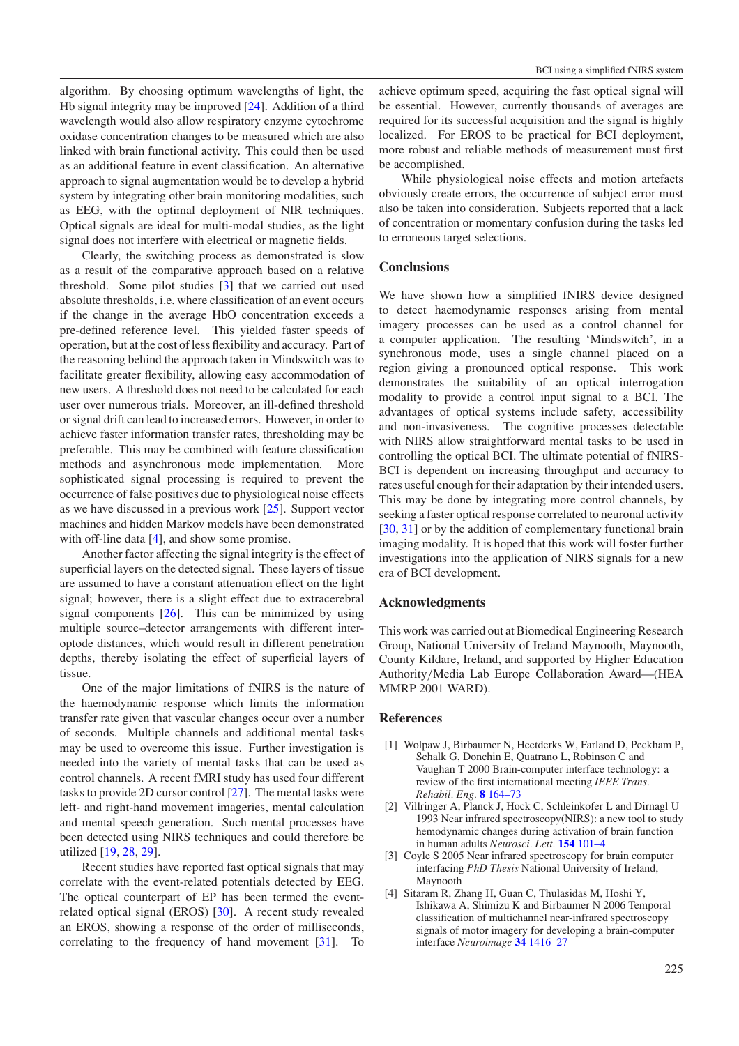<span id="page-6-0"></span>algorithm. By choosing optimum wavelengths of light, the Hb signal integrity may be improved [\[24\]](#page-7-0). Addition of a third wavelength would also allow respiratory enzyme cytochrome oxidase concentration changes to be measured which are also linked with brain functional activity. This could then be used as an additional feature in event classification. An alternative approach to signal augmentation would be to develop a hybrid system by integrating other brain monitoring modalities, such as EEG, with the optimal deployment of NIR techniques. Optical signals are ideal for multi-modal studies, as the light signal does not interfere with electrical or magnetic fields.

Clearly, the switching process as demonstrated is slow as a result of the comparative approach based on a relative threshold. Some pilot studies [3] that we carried out used absolute thresholds, i.e. where classification of an event occurs if the change in the average HbO concentration exceeds a pre-defined reference level. This yielded faster speeds of operation, but at the cost of less flexibility and accuracy. Part of the reasoning behind the approach taken in Mindswitch was to facilitate greater flexibility, allowing easy accommodation of new users. A threshold does not need to be calculated for each user over numerous trials. Moreover, an ill-defined threshold or signal drift can lead to increased errors. However, in order to achieve faster information transfer rates, thresholding may be preferable. This may be combined with feature classification methods and asynchronous mode implementation. More sophisticated signal processing is required to prevent the occurrence of false positives due to physiological noise effects as we have discussed in a previous work [\[25\]](#page-7-0). Support vector machines and hidden Markov models have been demonstrated with off-line data [4], and show some promise.

Another factor affecting the signal integrity is the effect of superficial layers on the detected signal. These layers of tissue are assumed to have a constant attenuation effect on the light signal; however, there is a slight effect due to extracerebral signal components [\[26\]](#page-7-0). This can be minimized by using multiple source–detector arrangements with different interoptode distances, which would result in different penetration depths, thereby isolating the effect of superficial layers of tissue.

One of the major limitations of fNIRS is the nature of the haemodynamic response which limits the information transfer rate given that vascular changes occur over a number of seconds. Multiple channels and additional mental tasks may be used to overcome this issue. Further investigation is needed into the variety of mental tasks that can be used as control channels. A recent fMRI study has used four different tasks to provide 2D cursor control [\[27](#page-7-0)]. The mental tasks were left- and right-hand movement imageries, mental calculation and mental speech generation. Such mental processes have been detected using NIRS techniques and could therefore be utilized [\[19,](#page-7-0) [28,](#page-7-0) [29\]](#page-7-0).

Recent studies have reported fast optical signals that may correlate with the event-related potentials detected by EEG. The optical counterpart of EP has been termed the eventrelated optical signal (EROS) [\[30\]](#page-7-0). A recent study revealed an EROS, showing a response of the order of milliseconds, correlating to the frequency of hand movement [\[31\]](#page-7-0). To achieve optimum speed, acquiring the fast optical signal will be essential. However, currently thousands of averages are required for its successful acquisition and the signal is highly localized. For EROS to be practical for BCI deployment, more robust and reliable methods of measurement must first be accomplished.

While physiological noise effects and motion artefacts obviously create errors, the occurrence of subject error must also be taken into consideration. Subjects reported that a lack of concentration or momentary confusion during the tasks led to erroneous target selections.

#### **Conclusions**

We have shown how a simplified fNIRS device designed to detect haemodynamic responses arising from mental imagery processes can be used as a control channel for a computer application. The resulting 'Mindswitch', in a synchronous mode, uses a single channel placed on a region giving a pronounced optical response. This work demonstrates the suitability of an optical interrogation modality to provide a control input signal to a BCI. The advantages of optical systems include safety, accessibility and non-invasiveness. The cognitive processes detectable with NIRS allow straightforward mental tasks to be used in controlling the optical BCI. The ultimate potential of fNIRS-BCI is dependent on increasing throughput and accuracy to rates useful enough for their adaptation by their intended users. This may be done by integrating more control channels, by seeking a faster optical response correlated to neuronal activity [\[30](#page-7-0), [31](#page-7-0)] or by the addition of complementary functional brain imaging modality. It is hoped that this work will foster further investigations into the application of NIRS signals for a new era of BCI development.

# **Acknowledgments**

This work was carried out at Biomedical Engineering Research Group, National University of Ireland Maynooth, Maynooth, County Kildare, Ireland, and supported by Higher Education Authority*/*Media Lab Europe Collaboration Award—(HEA MMRP 2001 WARD).

#### **References**

- [1] Wolpaw J, Birbaumer N, Heetderks W, Farland D, Peckham P, Schalk G, Donchin E, Quatrano L, Robinson C and Vaughan T 2000 Brain-computer interface technology: a review of the first international meeting *IEEE Trans. Rehabil. Eng.* **8** [164–73](http://dx.doi.org/10.1109/TRE.2000.847807)
- [2] Villringer A, Planck J, Hock C, Schleinkofer L and Dirnagl U 1993 Near infrared spectroscopy(NIRS): a new tool to study hemodynamic changes during activation of brain function in human adults *Neurosci. Lett.* **154** [101–4](http://dx.doi.org/10.1016/0304-3940(93)90181-J)
- [3] Coyle S 2005 Near infrared spectroscopy for brain computer interfacing *PhD Thesis* National University of Ireland, Maynooth
- [4] Sitaram R, Zhang H, Guan C, Thulasidas M, Hoshi Y, Ishikawa A, Shimizu K and Birbaumer N 2006 Temporal classification of multichannel near-infrared spectroscopy signals of motor imagery for developing a brain-computer interface *Neuroimage* **34** [1416–27](http://dx.doi.org/10.1016/j.neuroimage.2006.11.005)